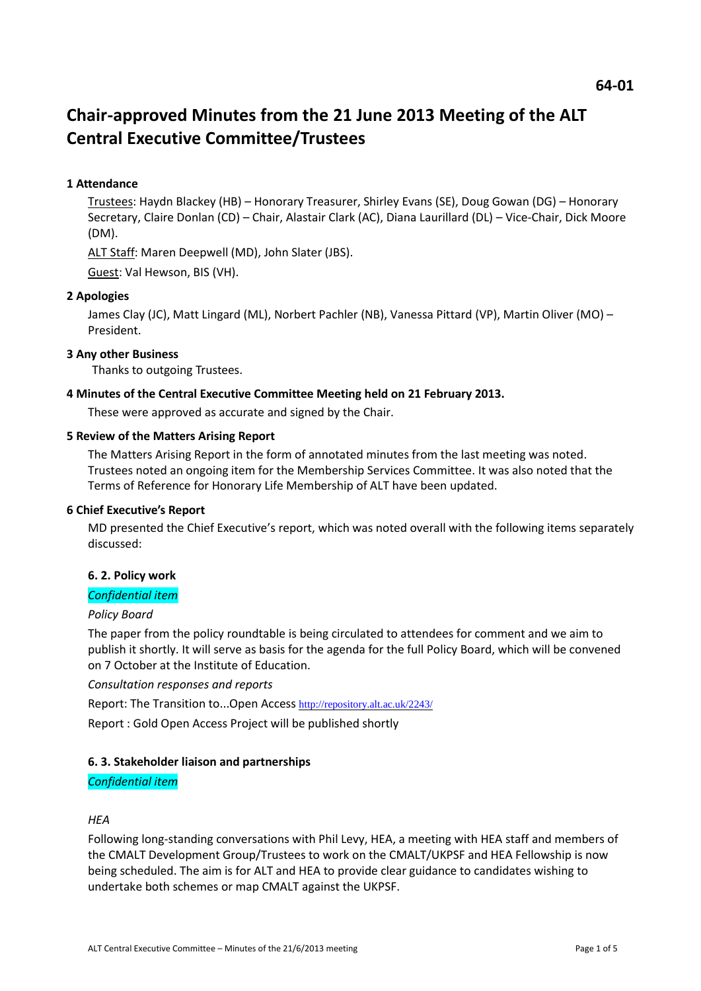# **Chair-approved Minutes from the 21 June 2013 Meeting of the ALT Central Executive Committee/Trustees**

# **1 Attendance**

Trustees: Haydn Blackey (HB) – Honorary Treasurer, Shirley Evans (SE), Doug Gowan (DG) – Honorary Secretary, Claire Donlan (CD) – Chair, Alastair Clark (AC), Diana Laurillard (DL) – Vice-Chair, Dick Moore (DM).

ALT Staff: Maren Deepwell (MD), John Slater (JBS).

Guest: Val Hewson, BIS (VH).

## **2 Apologies**

James Clay (JC), Matt Lingard (ML), Norbert Pachler (NB), Vanessa Pittard (VP), Martin Oliver (MO) – President.

## **3 Any other Business**

Thanks to outgoing Trustees.

#### **4 Minutes of the Central Executive Committee Meeting held on 21 February 2013.**

These were approved as accurate and signed by the Chair.

#### **5 Review of the Matters Arising Report**

The Matters Arising Report in the form of annotated minutes from the last meeting was noted. Trustees noted an ongoing item for the Membership Services Committee. It was also noted that the Terms of Reference for Honorary Life Membership of ALT have been updated.

## **6 Chief Executive's Report**

MD presented the Chief Executive's report, which was noted overall with the following items separately discussed:

## **6. 2. Policy work**

# *Confidential item*

#### *Policy Board*

The paper from the policy roundtable is being circulated to attendees for comment and we aim to publish it shortly. It will serve as basis for the agenda for the full Policy Board, which will be convened on 7 October at the Institute of Education.

## *Consultation responses and reports*

Report: The Transition to...Open Access <http://repository.alt.ac.uk/2243/>

Report : Gold Open Access Project will be published shortly

## **6. 3. Stakeholder liaison and partnerships**

## *Confidential item*

#### *HEA*

Following long-standing conversations with Phil Levy, HEA, a meeting with HEA staff and members of the CMALT Development Group/Trustees to work on the CMALT/UKPSF and HEA Fellowship is now being scheduled. The aim is for ALT and HEA to provide clear guidance to candidates wishing to undertake both schemes or map CMALT against the UKPSF.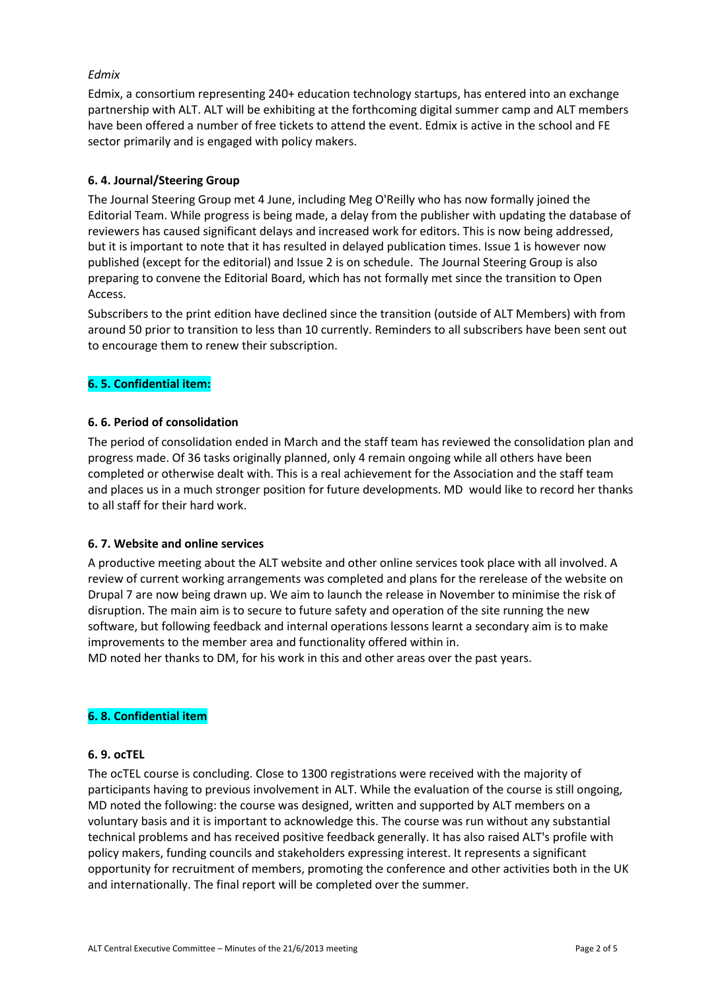# *Edmix*

Edmix, a consortium representing 240+ education technology startups, has entered into an exchange partnership with ALT. ALT will be exhibiting at the forthcoming digital summer camp and ALT members have been offered a number of free tickets to attend the event. Edmix is active in the school and FE sector primarily and is engaged with policy makers.

# **6. 4. Journal/Steering Group**

The Journal Steering Group met 4 June, including Meg O'Reilly who has now formally joined the Editorial Team. While progress is being made, a delay from the publisher with updating the database of reviewers has caused significant delays and increased work for editors. This is now being addressed, but it is important to note that it has resulted in delayed publication times. Issue 1 is however now published (except for the editorial) and Issue 2 is on schedule. The Journal Steering Group is also preparing to convene the Editorial Board, which has not formally met since the transition to Open Access.

Subscribers to the print edition have declined since the transition (outside of ALT Members) with from around 50 prior to transition to less than 10 currently. Reminders to all subscribers have been sent out to encourage them to renew their subscription.

# **6. 5. Confidential item:**

## **6. 6. Period of consolidation**

The period of consolidation ended in March and the staff team has reviewed the consolidation plan and progress made. Of 36 tasks originally planned, only 4 remain ongoing while all others have been completed or otherwise dealt with. This is a real achievement for the Association and the staff team and places us in a much stronger position for future developments. MD would like to record her thanks to all staff for their hard work.

## **6. 7. Website and online services**

A productive meeting about the ALT website and other online services took place with all involved. A review of current working arrangements was completed and plans for the rerelease of the website on Drupal 7 are now being drawn up. We aim to launch the release in November to minimise the risk of disruption. The main aim is to secure to future safety and operation of the site running the new software, but following feedback and internal operations lessons learnt a secondary aim is to make improvements to the member area and functionality offered within in.

MD noted her thanks to DM, for his work in this and other areas over the past years.

## **6. 8. Confidential item**

## **6. 9. ocTEL**

The ocTEL course is concluding. Close to 1300 registrations were received with the majority of participants having to previous involvement in ALT. While the evaluation of the course is still ongoing, MD noted the following: the course was designed, written and supported by ALT members on a voluntary basis and it is important to acknowledge this. The course was run without any substantial technical problems and has received positive feedback generally. It has also raised ALT's profile with policy makers, funding councils and stakeholders expressing interest. It represents a significant opportunity for recruitment of members, promoting the conference and other activities both in the UK and internationally. The final report will be completed over the summer.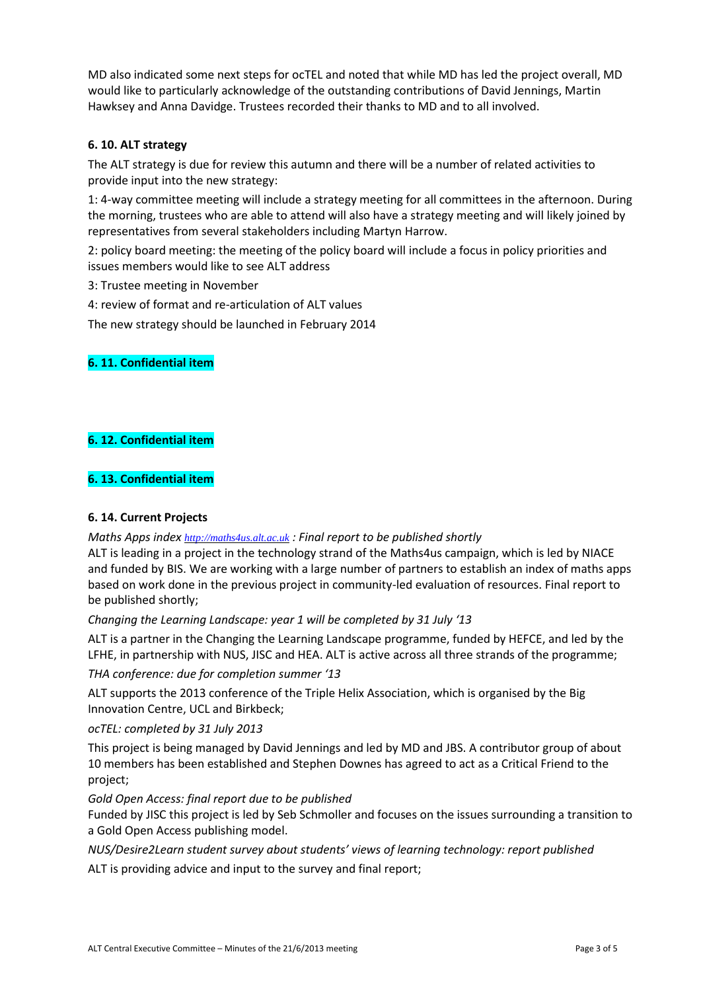MD also indicated some next steps for ocTEL and noted that while MD has led the project overall, MD would like to particularly acknowledge of the outstanding contributions of David Jennings, Martin Hawksey and Anna Davidge. Trustees recorded their thanks to MD and to all involved.

# **6. 10. ALT strategy**

The ALT strategy is due for review this autumn and there will be a number of related activities to provide input into the new strategy:

1: 4-way committee meeting will include a strategy meeting for all committees in the afternoon. During the morning, trustees who are able to attend will also have a strategy meeting and will likely joined by representatives from several stakeholders including Martyn Harrow.

2: policy board meeting: the meeting of the policy board will include a focus in policy priorities and issues members would like to see ALT address

3: Trustee meeting in November

4: review of format and re-articulation of ALT values

The new strategy should be launched in February 2014

# **6. 11. Confidential item**

# **6. 12. Confidential item**

# **6. 13. Confidential item**

## **6. 14. Current Projects**

## *Maths Apps index [http://maths4us.alt.ac.uk](http://maths4us.alt.ac.uk/) : Final report to be published shortly*

ALT is leading in a project in the technology strand of the Maths4us campaign, which is led by NIACE and funded by BIS. We are working with a large number of partners to establish an index of maths apps based on work done in the previous project in community-led evaluation of resources. Final report to be published shortly;

*Changing the Learning Landscape: year 1 will be completed by 31 July '13*

ALT is a partner in the Changing the Learning Landscape programme, funded by HEFCE, and led by the LFHE, in partnership with NUS, JISC and HEA. ALT is active across all three strands of the programme;

*THA conference: due for completion summer '13*

ALT supports the 2013 conference of the Triple Helix Association, which is organised by the Big Innovation Centre, UCL and Birkbeck;

*ocTEL: completed by 31 July 2013*

This project is being managed by David Jennings and led by MD and JBS. A contributor group of about 10 members has been established and Stephen Downes has agreed to act as a Critical Friend to the project;

*Gold Open Access: final report due to be published*

Funded by JISC this project is led by Seb Schmoller and focuses on the issues surrounding a transition to a Gold Open Access publishing model.

*NUS/Desire2Learn student survey about students' views of learning technology: report published* ALT is providing advice and input to the survey and final report;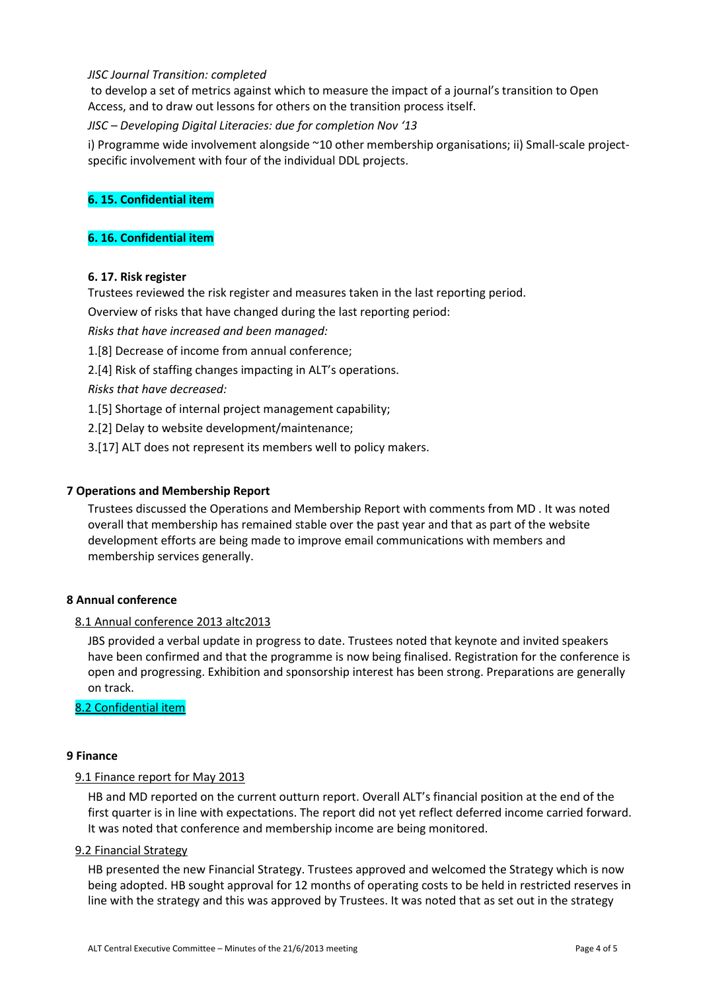## *JISC Journal Transition: completed*

to develop a set of metrics against which to measure the impact of a journal's transition to Open Access, and to draw out lessons for others on the transition process itself.

*JISC – Developing Digital Literacies: due for completion Nov '13*

i) Programme wide involvement alongside ~10 other membership organisations; ii) Small-scale projectspecific involvement with four of the individual DDL projects.

## **6. 15. Confidential item**

## **6. 16. Confidential item**

#### **6. 17. Risk register**

Trustees reviewed the risk register and measures taken in the last reporting period.

Overview of risks that have changed during the last reporting period:

*Risks that have increased and been managed:*

- 1.[8] Decrease of income from annual conference;
- 2.[4] Risk of staffing changes impacting in ALT's operations.

*Risks that have decreased:*

- 1.[5] Shortage of internal project management capability;
- 2.[2] Delay to website development/maintenance;
- 3.[17] ALT does not represent its members well to policy makers.

#### **7 Operations and Membership Report**

Trustees discussed the Operations and Membership Report with comments from MD . It was noted overall that membership has remained stable over the past year and that as part of the website development efforts are being made to improve email communications with members and membership services generally.

#### **8 Annual conference**

#### 8.1 Annual conference 2013 altc2013

JBS provided a verbal update in progress to date. Trustees noted that keynote and invited speakers have been confirmed and that the programme is now being finalised. Registration for the conference is open and progressing. Exhibition and sponsorship interest has been strong. Preparations are generally on track.

8.2 Confidential item

#### **9 Finance**

#### 9.1 Finance report for May 2013

HB and MD reported on the current outturn report. Overall ALT's financial position at the end of the first quarter is in line with expectations. The report did not yet reflect deferred income carried forward. It was noted that conference and membership income are being monitored.

#### 9.2 Financial Strategy

HB presented the new Financial Strategy. Trustees approved and welcomed the Strategy which is now being adopted. HB sought approval for 12 months of operating costs to be held in restricted reserves in line with the strategy and this was approved by Trustees. It was noted that as set out in the strategy